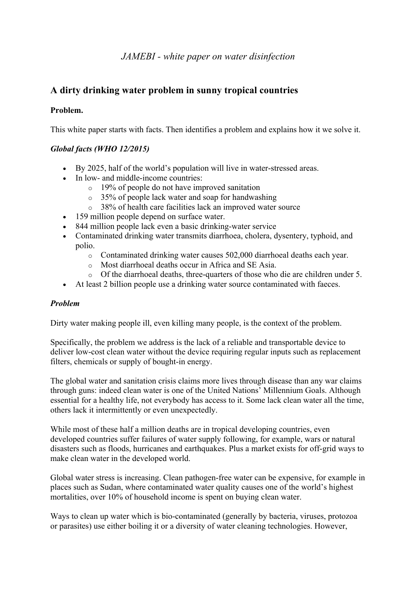# *JAMEBI - white paper on water disinfection*

# **A dirty drinking water problem in sunny tropical countries**

## **Problem.**

This white paper starts with facts. Then identifies a problem and explains how it we solve it.

# *Global facts (WHO 12/2015)*

- By 2025, half of the world's population will live in water-stressed areas.
- In low- and middle-income countries:
	- o 19% of people do not have improved sanitation
	- o 35% of people lack water and soap for handwashing
	- o 38% of health care facilities lack an improved water source
- 159 million people depend on surface water.
- 844 million people lack even a basic drinking-water service
- Contaminated drinking water transmits diarrhoea, cholera, dysentery, typhoid, and polio.
	- o Contaminated drinking water causes 502,000 diarrhoeal deaths each year.
	- o Most diarrhoeal deaths occur in Africa and SE Asia.
	- o Of the diarrhoeal deaths, three-quarters of those who die are children under 5.
- At least 2 billion people use a drinking water source contaminated with faeces.

## *Problem*

Dirty water making people ill, even killing many people, is the context of the problem.

Specifically, the problem we address is the lack of a reliable and transportable device to deliver low-cost clean water without the device requiring regular inputs such as replacement filters, chemicals or supply of bought-in energy.

The global water and sanitation crisis claims more lives through disease than any war claims through guns: indeed clean water is one of the United Nations' Millennium Goals. Although essential for a healthy life, not everybody has access to it. Some lack clean water all the time, others lack it intermittently or even unexpectedly.

While most of these half a million deaths are in tropical developing countries, even developed countries suffer failures of water supply following, for example, wars or natural disasters such as floods, hurricanes and earthquakes. Plus a market exists for off-grid ways to make clean water in the developed world.

Global water stress is increasing. Clean pathogen-free water can be expensive, for example in places such as Sudan, where contaminated water quality causes one of the world's highest mortalities, over 10% of household income is spent on buying clean water.

Ways to clean up water which is bio-contaminated (generally by bacteria, viruses, protozoa or parasites) use either boiling it or a diversity of water cleaning technologies. However,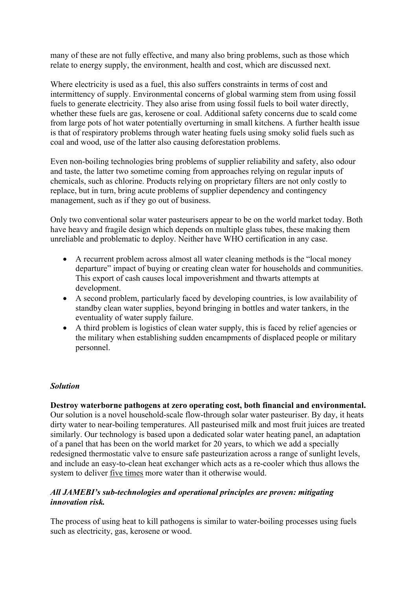many of these are not fully effective, and many also bring problems, such as those which relate to energy supply, the environment, health and cost, which are discussed next.

Where electricity is used as a fuel, this also suffers constraints in terms of cost and intermittency of supply. Environmental concerns of global warming stem from using fossil fuels to generate electricity. They also arise from using fossil fuels to boil water directly, whether these fuels are gas, kerosene or coal. Additional safety concerns due to scald come from large pots of hot water potentially overturning in small kitchens. A further health issue is that of respiratory problems through water heating fuels using smoky solid fuels such as coal and wood, use of the latter also causing deforestation problems.

Even non-boiling technologies bring problems of supplier reliability and safety, also odour and taste, the latter two sometime coming from approaches relying on regular inputs of chemicals, such as chlorine. Products relying on proprietary filters are not only costly to replace, but in turn, bring acute problems of supplier dependency and contingency management, such as if they go out of business.

Only two conventional solar water pasteurisers appear to be on the world market today. Both have heavy and fragile design which depends on multiple glass tubes, these making them unreliable and problematic to deploy. Neither have WHO certification in any case.

- A recurrent problem across almost all water cleaning methods is the "local money departure" impact of buying or creating clean water for households and communities. This export of cash causes local impoverishment and thwarts attempts at development.
- A second problem, particularly faced by developing countries, is low availability of standby clean water supplies, beyond bringing in bottles and water tankers, in the eventuality of water supply failure.
- A third problem is logistics of clean water supply, this is faced by relief agencies or the military when establishing sudden encampments of displaced people or military personnel.

## *Solution*

**Destroy waterborne pathogens at zero operating cost, both financial and environmental.** Our solution is a novel household-scale flow-through solar water pasteuriser. By day, it heats dirty water to near-boiling temperatures. All pasteurised milk and most fruit juices are treated similarly. Our technology is based upon a dedicated solar water heating panel, an adaptation of a panel that has been on the world market for 20 years, to which we add a specially redesigned thermostatic valve to ensure safe pasteurization across a range of sunlight levels, and include an easy-to-clean heat exchanger which acts as a re-cooler which thus allows the system to deliver five times more water than it otherwise would.

## *All JAMEBI's sub-technologies and operational principles are proven: mitigating innovation risk.*

The process of using heat to kill pathogens is similar to water-boiling processes using fuels such as electricity, gas, kerosene or wood.